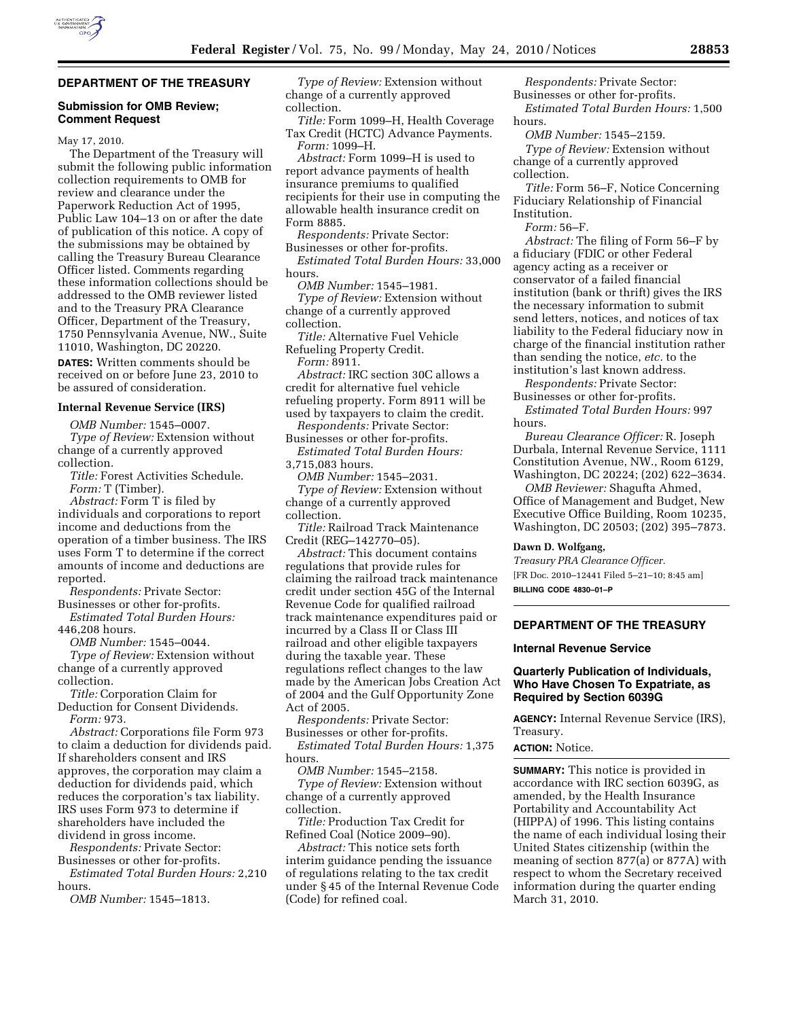# **DEPARTMENT OF THE TREASURY**

#### **Submission for OMB Review; Comment Request**

May 17, 2010.

The Department of the Treasury will submit the following public information collection requirements to OMB for review and clearance under the Paperwork Reduction Act of 1995, Public Law 104–13 on or after the date of publication of this notice. A copy of the submissions may be obtained by calling the Treasury Bureau Clearance Officer listed. Comments regarding these information collections should be addressed to the OMB reviewer listed and to the Treasury PRA Clearance Officer, Department of the Treasury, 1750 Pennsylvania Avenue, NW., Suite 11010, Washington, DC 20220. **DATES:** Written comments should be received on or before June 23, 2010 to be assured of consideration.

# **Internal Revenue Service (IRS)**

*OMB Number:* 1545–0007. *Type of Review:* Extension without change of a currently approved

collection. *Title:* Forest Activities Schedule. *Form:* T (Timber).

*Abstract:* Form T is filed by individuals and corporations to report income and deductions from the operation of a timber business. The IRS uses Form T to determine if the correct amounts of income and deductions are reported.

*Respondents:* Private Sector:

Businesses or other for-profits. *Estimated Total Burden Hours:*  446,208 hours.

*OMB Number:* 1545–0044.

*Type of Review:* Extension without change of a currently approved collection.

*Title:* Corporation Claim for Deduction for Consent Dividends.

*Form:* 973.

*Abstract:* Corporations file Form 973 to claim a deduction for dividends paid. If shareholders consent and IRS approves, the corporation may claim a deduction for dividends paid, which reduces the corporation's tax liability. IRS uses Form 973 to determine if shareholders have included the dividend in gross income.

*Respondents:* Private Sector: Businesses or other for-profits.

*Estimated Total Burden Hours:* 2,210 hours.

*OMB Number:* 1545–1813.

*Type of Review:* Extension without change of a currently approved collection.

*Title:* Form 1099–H, Health Coverage Tax Credit (HCTC) Advance Payments. *Form:* 1099–H.

*Abstract:* Form 1099–H is used to report advance payments of health insurance premiums to qualified recipients for their use in computing the allowable health insurance credit on Form 8885.

*Respondents:* Private Sector: Businesses or other for-profits. *Estimated Total Burden Hours:* 33,000 hours.

*OMB Number:* 1545–1981.

*Type of Review:* Extension without change of a currently approved collection.

*Title:* Alternative Fuel Vehicle Refueling Property Credit.

*Form:* 8911.

*Abstract:* IRC section 30C allows a credit for alternative fuel vehicle refueling property. Form 8911 will be

used by taxpayers to claim the credit. *Respondents:* Private Sector: Businesses or other for-profits.

*Estimated Total Burden Hours:*  3,715,083 hours.

*OMB Number:* 1545–2031.

*Type of Review:* Extension without change of a currently approved collection.

*Title:* Railroad Track Maintenance Credit (REG–142770–05).

*Abstract:* This document contains regulations that provide rules for claiming the railroad track maintenance credit under section 45G of the Internal Revenue Code for qualified railroad track maintenance expenditures paid or incurred by a Class II or Class III railroad and other eligible taxpayers during the taxable year. These regulations reflect changes to the law made by the American Jobs Creation Act of 2004 and the Gulf Opportunity Zone Act of 2005.

*Respondents:* Private Sector: Businesses or other for-profits.

*Estimated Total Burden Hours:* 1,375 hours.

*OMB Number:* 1545–2158. *Type of Review:* Extension without change of a currently approved collection.

*Title:* Production Tax Credit for Refined Coal (Notice 2009–90).

*Abstract:* This notice sets forth interim guidance pending the issuance of regulations relating to the tax credit under § 45 of the Internal Revenue Code (Code) for refined coal.

*Respondents:* Private Sector: Businesses or other for-profits.

*Estimated Total Burden Hours:* 1,500 hours.

*OMB Number:* 1545–2159.

*Type of Review:* Extension without change of a currently approved collection.

*Title:* Form 56–F, Notice Concerning Fiduciary Relationship of Financial Institution.

*Form:* 56–F.

*Abstract:* The filing of Form 56–F by a fiduciary (FDIC or other Federal agency acting as a receiver or conservator of a failed financial institution (bank or thrift) gives the IRS the necessary information to submit send letters, notices, and notices of tax liability to the Federal fiduciary now in charge of the financial institution rather than sending the notice, *etc.* to the institution's last known address.

*Respondents:* Private Sector: Businesses or other for-profits.

*Estimated Total Burden Hours:* 997 hours.

*Bureau Clearance Officer:* R. Joseph Durbala, Internal Revenue Service, 1111 Constitution Avenue, NW., Room 6129, Washington, DC 20224; (202) 622–3634.

*OMB Reviewer:* Shagufta Ahmed, Office of Management and Budget, New Executive Office Building, Room 10235, Washington, DC 20503; (202) 395–7873.

# **Dawn D. Wolfgang,**

*Treasury PRA Clearance Officer.*  [FR Doc. 2010–12441 Filed 5–21–10; 8:45 am] **BILLING CODE 4830–01–P** 

### **DEPARTMENT OF THE TREASURY**

#### **Internal Revenue Service**

### **Quarterly Publication of Individuals, Who Have Chosen To Expatriate, as Required by Section 6039G**

**AGENCY:** Internal Revenue Service (IRS), Treasury.

**ACTION:** Notice.

**SUMMARY:** This notice is provided in accordance with IRC section 6039G, as amended, by the Health Insurance Portability and Accountability Act (HIPPA) of 1996. This listing contains the name of each individual losing their United States citizenship (within the meaning of section 877(a) or 877A) with respect to whom the Secretary received information during the quarter ending March 31, 2010.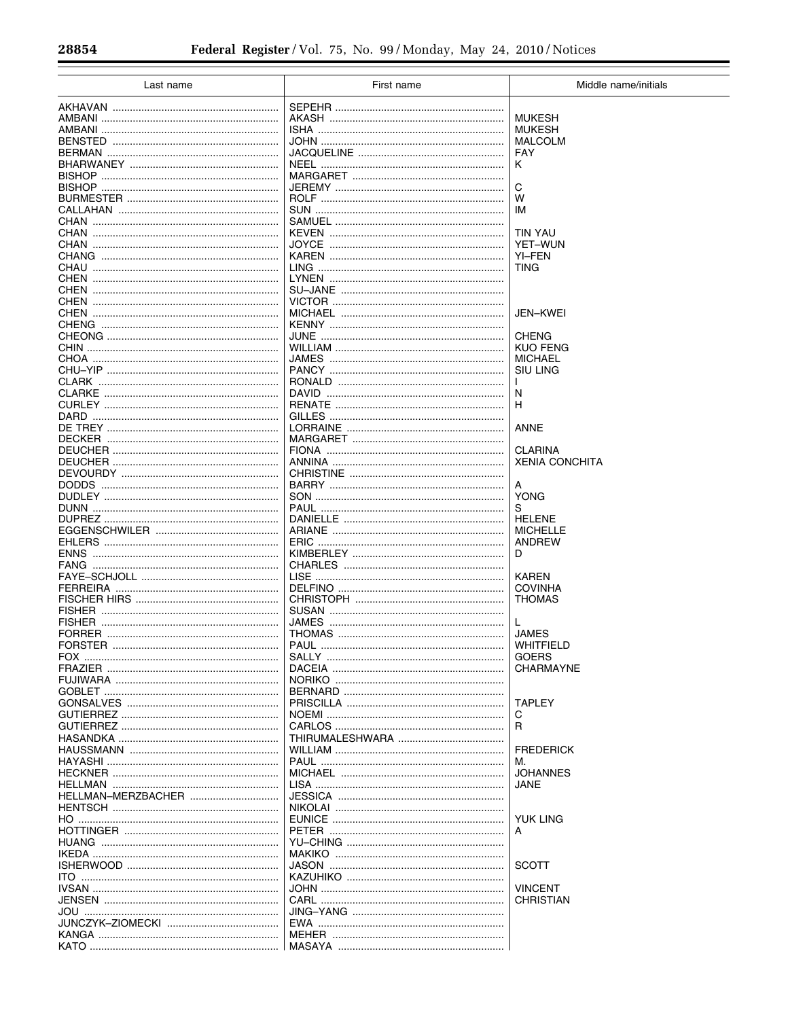$\equiv$ 

| Last name                           | First name | Middle name/initials      |
|-------------------------------------|------------|---------------------------|
|                                     |            |                           |
|                                     |            | <b>MUKESH</b>             |
|                                     |            | <b>MUKESH</b>             |
|                                     |            | <b>MALCOLM</b>            |
|                                     |            | <b>FAY</b>                |
|                                     |            | Κ                         |
|                                     |            |                           |
|                                     |            | C                         |
|                                     |            | w                         |
|                                     |            | ΙM                        |
|                                     |            |                           |
|                                     |            | <b>TIN YAU</b>            |
|                                     |            | <b>YET-WUN</b>            |
|                                     |            | YI-FEN                    |
|                                     |            | TING                      |
|                                     |            |                           |
|                                     |            |                           |
|                                     |            |                           |
|                                     |            | JEN-KWEI                  |
|                                     |            |                           |
|                                     |            | <b>CHENG</b>              |
|                                     |            | <b>KUO FENG</b>           |
|                                     |            | MICHAEL                   |
|                                     |            | SIU LING                  |
|                                     |            |                           |
|                                     |            | N                         |
|                                     |            | н                         |
|                                     |            |                           |
|                                     |            | <b>ANNE</b>               |
|                                     |            |                           |
|                                     |            | <b>CLARINA</b>            |
|                                     |            | <b>XENIA CONCHITA</b>     |
|                                     |            |                           |
|                                     |            | А                         |
|                                     |            | <b>YONG</b>               |
|                                     |            | S                         |
|                                     |            | <b>HELENE</b>             |
|                                     |            | <b>MICHELLE</b>           |
|                                     |            | ANDREW                    |
| <b>ENNS</b>                         |            | D                         |
| FANG                                |            |                           |
|                                     |            | <b>KAREN</b>              |
|                                     |            | <b>COVINHA</b>            |
|                                     |            | <b>THOMAS</b>             |
|                                     |            |                           |
|                                     |            | L                         |
|                                     |            | <b>JAMES</b>              |
|                                     |            | WHITFIELD                 |
|                                     |            | <b>GOERS</b><br>CHARMAYNE |
|                                     |            |                           |
|                                     |            |                           |
|                                     |            | <b>TAPLEY</b>             |
|                                     |            |                           |
|                                     |            | С<br>R                    |
|                                     |            |                           |
|                                     |            | <b>FREDERICK</b>          |
|                                     |            | м.                        |
|                                     |            | <b>JOHANNES</b>           |
|                                     |            | JANE                      |
| HELLMAN-MERZBACHER                  |            |                           |
|                                     |            |                           |
|                                     |            | YUK LING                  |
|                                     |            | A                         |
|                                     |            |                           |
| <u>IKEDA …………………………………………………………</u> |            |                           |
|                                     |            | <b>SCOTT</b>              |
|                                     |            |                           |
|                                     |            | <b>VINCENT</b>            |
|                                     |            | CHRISTIAN                 |
|                                     |            |                           |
|                                     |            |                           |
|                                     |            |                           |
|                                     |            |                           |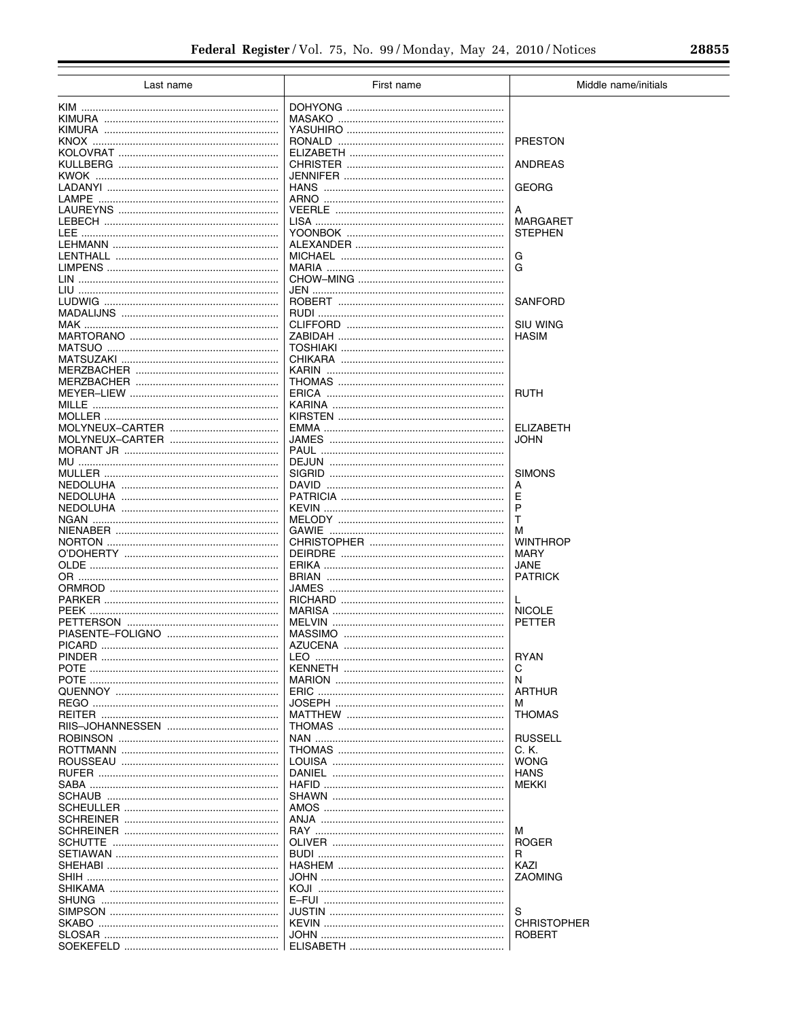Ξ

| Last name | First name                 | Middle name/initials    |
|-----------|----------------------------|-------------------------|
|           |                            |                         |
|           |                            |                         |
|           |                            |                         |
|           |                            | <b>PRESTON</b>          |
|           |                            |                         |
|           |                            | <b>ANDREAS</b>          |
|           |                            |                         |
|           |                            | <b>GEORG</b>            |
|           |                            |                         |
|           |                            | A                       |
|           |                            | <b>MARGARET</b>         |
|           |                            | <b>STEPHEN</b>          |
|           |                            |                         |
|           |                            | G                       |
|           |                            | G                       |
|           |                            |                         |
|           |                            |                         |
|           |                            | SANFORD                 |
|           |                            |                         |
|           |                            | SIU WING                |
|           |                            | <b>HASIM</b>            |
|           |                            |                         |
|           |                            |                         |
|           |                            |                         |
|           |                            |                         |
|           |                            | <b>RUTH</b>             |
|           |                            |                         |
|           |                            |                         |
|           |                            | <b>ELIZABETH</b>        |
|           |                            | JOHN                    |
|           |                            |                         |
|           |                            |                         |
|           |                            | <b>SIMONS</b>           |
|           |                            | А                       |
|           |                            | E                       |
|           |                            | P                       |
|           |                            | т                       |
|           |                            | м                       |
|           |                            | <b>WINTHROP</b><br>MARY |
|           |                            | JANE                    |
|           |                            | <b>PATRICK</b>          |
|           |                            |                         |
|           |                            | L                       |
|           |                            | <b>NICOLE</b>           |
|           |                            | PETTER                  |
|           |                            |                         |
|           |                            |                         |
|           |                            | <b>RYAN</b>             |
|           |                            | С                       |
|           |                            | N                       |
|           |                            | <b>ARTHUR</b>           |
|           |                            | м                       |
|           |                            | <b>THOMAS</b>           |
|           |                            |                         |
|           |                            | <b>RUSSELL</b>          |
|           |                            | C. K.                   |
|           |                            | WONG                    |
|           |                            | <b>HANS</b>             |
|           |                            | <b>MEKKI</b>            |
|           |                            |                         |
|           |                            |                         |
|           | ANJA ……………………………………………………… |                         |
|           |                            | м                       |
|           |                            | <b>ROGER</b>            |
|           |                            | R                       |
|           |                            | KAZI                    |
|           |                            | ZAOMING                 |
|           |                            |                         |
|           |                            |                         |
|           |                            | S                       |
|           |                            | <b>CHRISTOPHER</b>      |
|           |                            | <b>ROBERT</b>           |
|           |                            |                         |